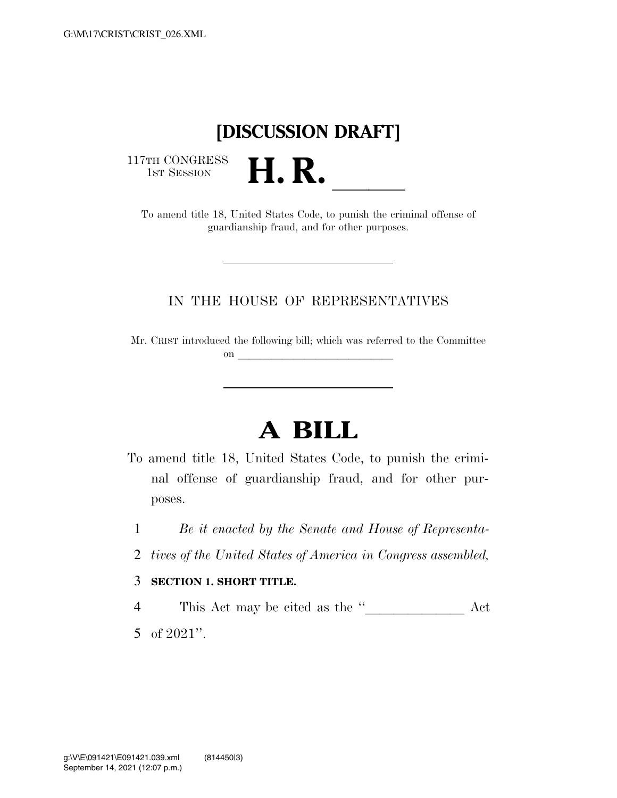## **[DISCUSSION DRAFT]**

117TH CONGRESS<br>1st Session

TTH CONGRESS<br>
1ST SESSION<br>
To amend title 18, United States Code, to punish the criminal offense of guardianship fraud, and for other purposes.

#### IN THE HOUSE OF REPRESENTATIVES

Mr. CRIST introduced the following bill; which was referred to the Committee on  $\qquad \qquad$ 

# **A BILL**

- To amend title 18, United States Code, to punish the criminal offense of guardianship fraud, and for other purposes.
	- 1 *Be it enacted by the Senate and House of Representa-*
- 2 *tives of the United States of America in Congress assembled,*

#### 3 **SECTION 1. SHORT TITLE.**

<sup>4</sup> This Act may be cited as the ''lllllll Act 5 of 2021''.